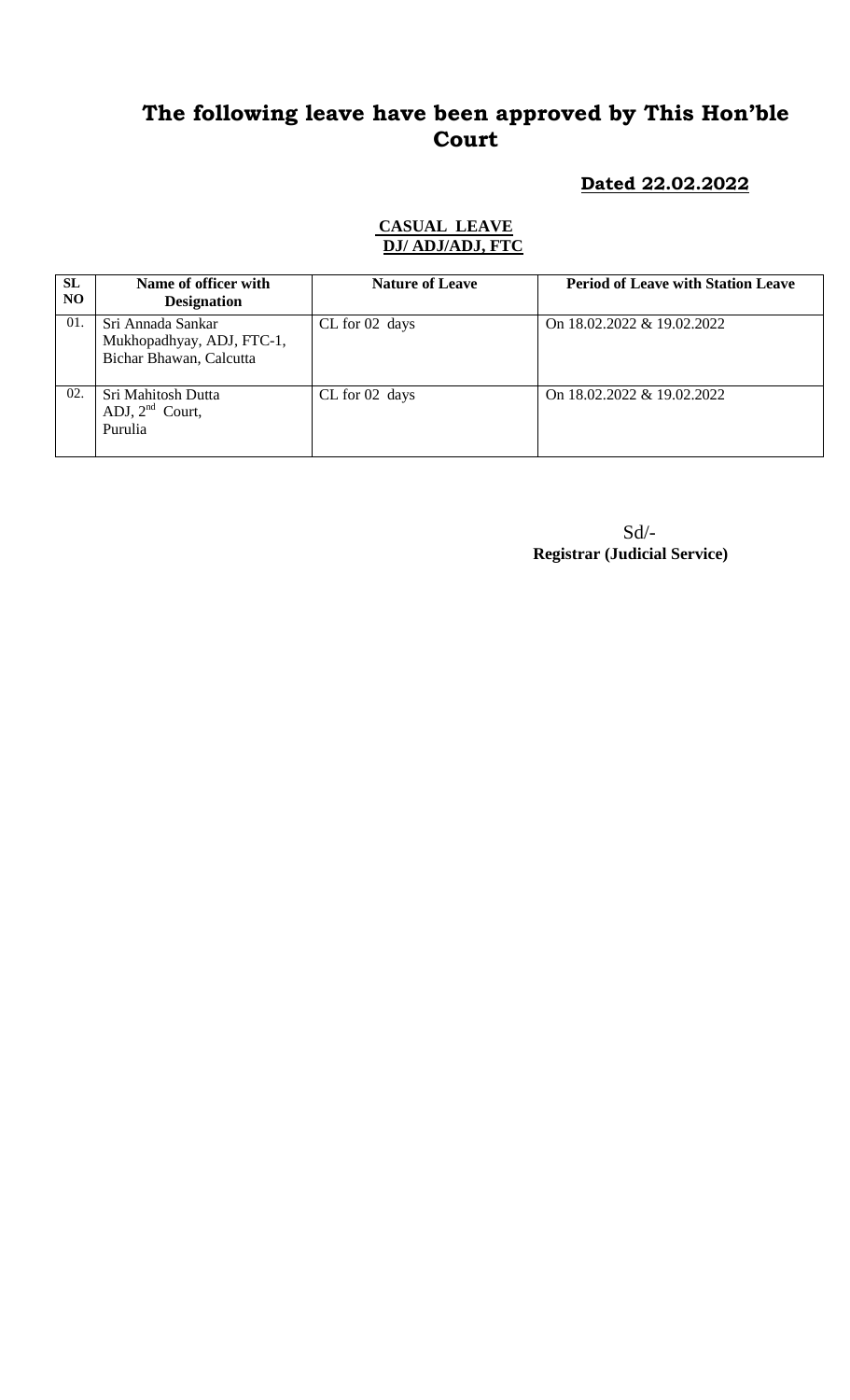# **The following leave have been approved by This Hon'ble Court**

#### **Dated 22.02.2022**

#### **CASUAL LEAVE DJ/ ADJ/ADJ, FTC**

| SL<br>N <sub>O</sub> | Name of officer with<br><b>Designation</b>                                | <b>Nature of Leave</b> | <b>Period of Leave with Station Leave</b> |
|----------------------|---------------------------------------------------------------------------|------------------------|-------------------------------------------|
| 01.                  | Sri Annada Sankar<br>Mukhopadhyay, ADJ, FTC-1,<br>Bichar Bhawan, Calcutta | $CL$ for 02 days       | On $18.02.2022 \& 19.02.2022$             |
| 02.                  | Sri Mahitosh Dutta<br>ADJ, $2nd$ Court,<br>Purulia                        | $CL$ for 02 days       | On $18.02.2022 \& 19.02.2022$             |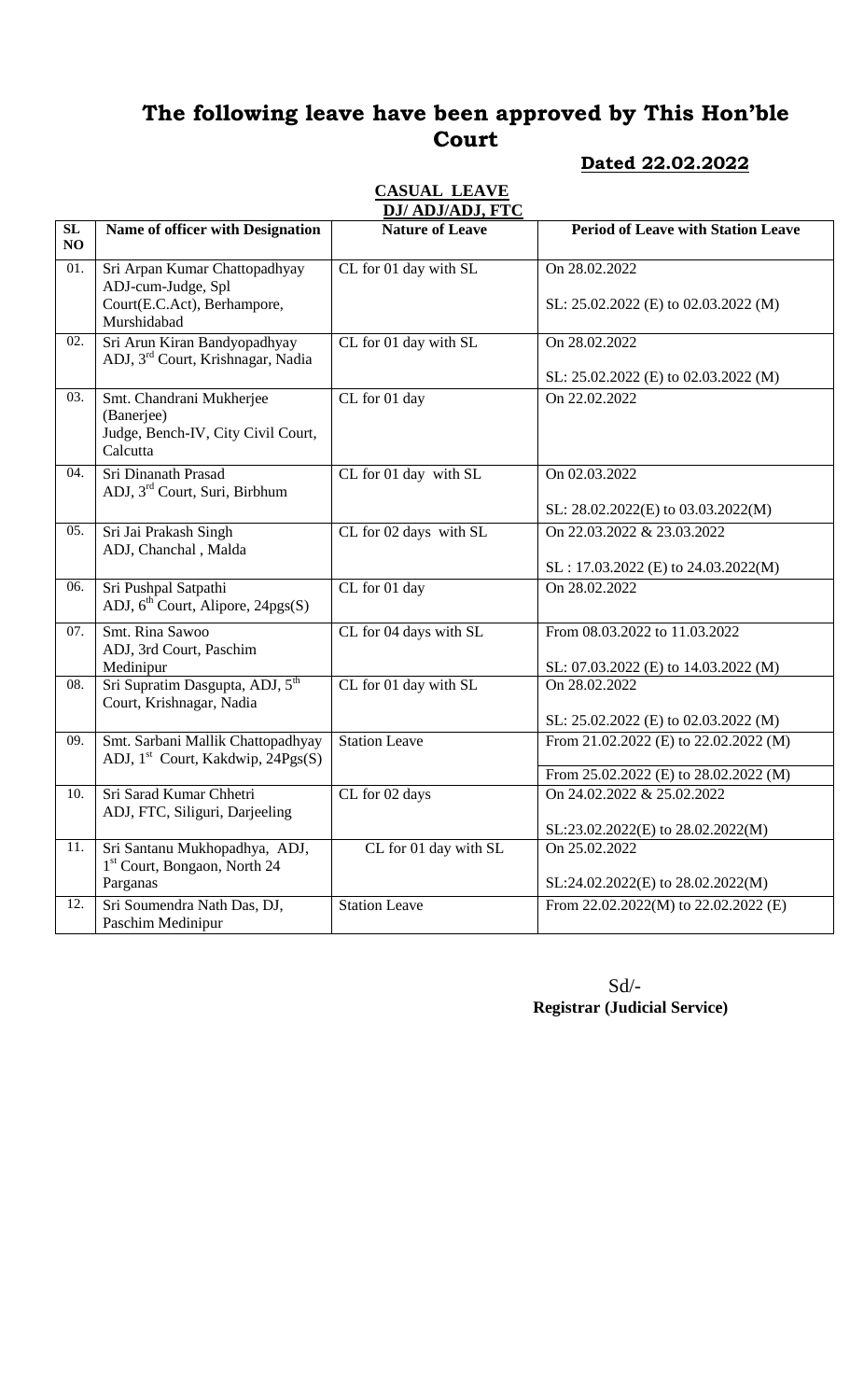# **The following leave have been approved by This Hon'ble Court**

#### **Dated 22.02.2022**

|                  | <b>DJ/ ADJ/ADJ, FTC</b>                                                                  |                        |                                                                       |  |
|------------------|------------------------------------------------------------------------------------------|------------------------|-----------------------------------------------------------------------|--|
| ${\bf SL}$<br>NO | Name of officer with Designation                                                         | <b>Nature of Leave</b> | <b>Period of Leave with Station Leave</b>                             |  |
| 01.              | Sri Arpan Kumar Chattopadhyay<br>ADJ-cum-Judge, Spl<br>Court(E.C.Act), Berhampore,       | CL for 01 day with SL  | On 28.02.2022<br>SL: 25.02.2022 (E) to 02.03.2022 (M)                 |  |
|                  | Murshidabad                                                                              |                        |                                                                       |  |
| 02.              | Sri Arun Kiran Bandyopadhyay<br>ADJ, 3 <sup>rd</sup> Court, Krishnagar, Nadia            | CL for 01 day with SL  | On 28.02.2022                                                         |  |
|                  |                                                                                          |                        | SL: 25.02.2022 (E) to 02.03.2022 (M)                                  |  |
| 03.              | Smt. Chandrani Mukherjee<br>(Banerjee)<br>Judge, Bench-IV, City Civil Court,<br>Calcutta | CL for 01 day          | On 22.02.2022                                                         |  |
| 04.              | Sri Dinanath Prasad<br>ADJ, 3rd Court, Suri, Birbhum                                     | CL for 01 day with SL  | On 02.03.2022                                                         |  |
|                  |                                                                                          |                        | SL: 28.02.2022(E) to 03.03.2022(M)                                    |  |
| 05.              | Sri Jai Prakash Singh<br>ADJ, Chanchal, Malda                                            | CL for 02 days with SL | On 22.03.2022 & 23.03.2022                                            |  |
|                  |                                                                                          |                        | SL: 17.03.2022 (E) to 24.03.2022(M)                                   |  |
| 06.              | Sri Pushpal Satpathi<br>ADJ, $6th$ Court, Alipore, 24pgs(S)                              | CL for 01 day          | On 28.02.2022                                                         |  |
| 07.              | Smt. Rina Sawoo<br>ADJ, 3rd Court, Paschim<br>Medinipur                                  | CL for 04 days with SL | From 08.03.2022 to 11.03.2022<br>SL: 07.03.2022 (E) to 14.03.2022 (M) |  |
| 08.              | Sri Supratim Dasgupta, ADJ, 5 <sup>th</sup>                                              | CL for 01 day with SL  | On 28.02.2022                                                         |  |
|                  | Court, Krishnagar, Nadia                                                                 |                        |                                                                       |  |
|                  |                                                                                          |                        | SL: 25.02.2022 (E) to 02.03.2022 (M)                                  |  |
| 09.              | Smt. Sarbani Mallik Chattopadhyay<br>ADJ, 1 <sup>st</sup> Court, Kakdwip, 24Pgs(S)       | <b>Station Leave</b>   | From 21.02.2022 (E) to 22.02.2022 (M)                                 |  |
|                  |                                                                                          |                        | From 25.02.2022 (E) to 28.02.2022 (M)                                 |  |
| 10.              | Sri Sarad Kumar Chhetri<br>ADJ, FTC, Siliguri, Darjeeling                                | CL for 02 days         | On 24.02.2022 & 25.02.2022                                            |  |
|                  |                                                                                          |                        | SL:23.02.2022(E) to 28.02.2022(M)                                     |  |
| 11.              | Sri Santanu Mukhopadhya, ADJ,<br>1 <sup>st</sup> Court, Bongaon, North 24                | CL for 01 day with SL  | On 25.02.2022                                                         |  |
|                  | Parganas                                                                                 |                        | SL:24.02.2022(E) to 28.02.2022(M)                                     |  |
| 12.              | Sri Soumendra Nath Das, DJ,<br>Paschim Medinipur                                         | <b>Station Leave</b>   | From $22.02.2022(M)$ to $22.02.2022(E)$                               |  |

# **CASUAL LEAVE**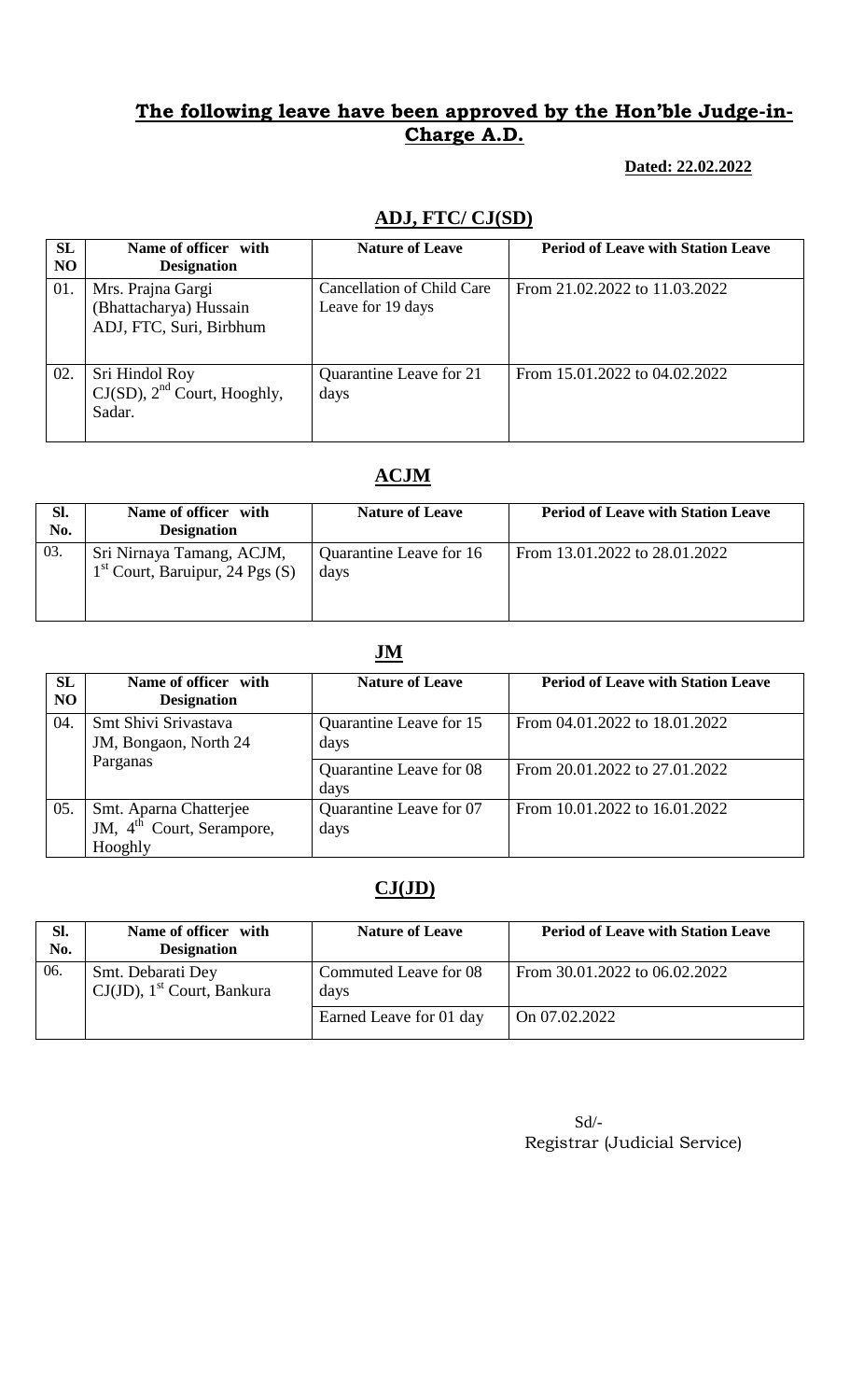## **The following leave have been approved by the Hon'ble Judge-in-Charge A.D.**

#### **Dated: 22.02.2022**

## **ADJ, FTC/ CJ(SD)**

| <b>SL</b><br>NO | Name of officer with<br><b>Designation</b>                             | <b>Nature of Leave</b>                          | <b>Period of Leave with Station Leave</b> |
|-----------------|------------------------------------------------------------------------|-------------------------------------------------|-------------------------------------------|
| 01.             | Mrs. Prajna Gargi<br>(Bhattacharya) Hussain<br>ADJ, FTC, Suri, Birbhum | Cancellation of Child Care<br>Leave for 19 days | From 21.02.2022 to 11.03.2022             |
| 02.             | Sri Hindol Roy<br>$CJ(SD)$ , $2nd$ Court, Hooghly,<br>Sadar.           | Quarantine Leave for 21<br>days                 | From 15.01.2022 to 04.02.2022             |

## **ACJM**

| SI.<br>No. | Name of officer with<br><b>Designation</b>                               | <b>Nature of Leave</b>          | <b>Period of Leave with Station Leave</b> |
|------------|--------------------------------------------------------------------------|---------------------------------|-------------------------------------------|
| 03.        | Sri Nirnaya Tamang, ACJM,<br>1 <sup>st</sup> Court, Baruipur, 24 Pgs (S) | Quarantine Leave for 16<br>days | From 13.01.2022 to 28.01.2022             |

## **JM**

| <b>SL</b><br>N <sub>O</sub> | Name of officer with<br><b>Designation</b>                                 | <b>Nature of Leave</b>          | <b>Period of Leave with Station Leave</b> |
|-----------------------------|----------------------------------------------------------------------------|---------------------------------|-------------------------------------------|
| 04.                         | Smt Shivi Srivastava<br>JM, Bongaon, North 24                              | Quarantine Leave for 15<br>days | From 04.01.2022 to 18.01.2022             |
|                             | Parganas                                                                   | Quarantine Leave for 08<br>days | From 20.01.2022 to 27.01.2022             |
| 05.                         | Smt. Aparna Chatterjee<br>JM, 4 <sup>th</sup> Court, Serampore,<br>Hooghly | Quarantine Leave for 07<br>days | From 10.01.2022 to 16.01.2022             |

## **CJ(JD)**

| Sl.<br>No. | Name of officer with<br><b>Designation</b>                     | <b>Nature of Leave</b>        | <b>Period of Leave with Station Leave</b> |
|------------|----------------------------------------------------------------|-------------------------------|-------------------------------------------|
| 06.        | Smt. Debarati Dey<br>$CJ(JD)$ , 1 <sup>st</sup> Court, Bankura | Commuted Leave for 08<br>days | From 30.01.2022 to 06.02.2022             |
|            |                                                                | Earned Leave for 01 day       | On 07.02.2022                             |